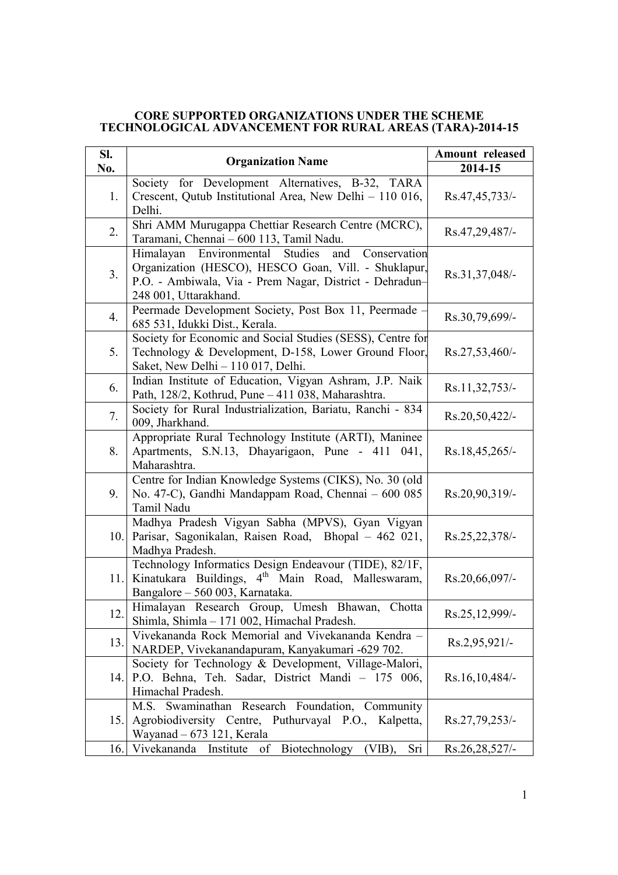## **CORE SUPPORTED ORGANIZATIONS UNDER THE SCHEME TECHNOLOGICAL ADVANCEMENT FOR RURAL AREAS (TARA)-2014-15**

| SI.  | <b>Organization Name</b>                                                                                                                                                                              | Amount released  |
|------|-------------------------------------------------------------------------------------------------------------------------------------------------------------------------------------------------------|------------------|
| No.  |                                                                                                                                                                                                       | 2014-15          |
| 1.   | Society for Development Alternatives, B-32, TARA<br>Crescent, Qutub Institutional Area, New Delhi - 110 016,<br>Delhi.                                                                                | Rs.47,45,733/-   |
| 2.   | Shri AMM Murugappa Chettiar Research Centre (MCRC),<br>Taramani, Chennai - 600 113, Tamil Nadu.                                                                                                       | Rs.47,29,487/-   |
| 3.   | Environmental Studies<br>Himalayan<br>and<br>Conservation<br>Organization (HESCO), HESCO Goan, Vill. - Shuklapur,<br>P.O. - Ambiwala, Via - Prem Nagar, District - Dehradun-<br>248 001, Uttarakhand. | Rs.31,37,048/-   |
| 4.   | Peermade Development Society, Post Box 11, Peermade -<br>685 531, Idukki Dist., Kerala.                                                                                                               | Rs.30,79,699/-   |
| 5.   | Society for Economic and Social Studies (SESS), Centre for<br>Technology & Development, D-158, Lower Ground Floor,<br>Saket, New Delhi - 110 017, Delhi.                                              | $Rs.27,53,460/-$ |
| 6.   | Indian Institute of Education, Vigyan Ashram, J.P. Naik<br>Path, 128/2, Kothrud, Pune - 411 038, Maharashtra.                                                                                         | Rs.11,32,753/-   |
| 7.   | Society for Rural Industrialization, Bariatu, Ranchi - 834<br>009, Jharkhand.                                                                                                                         | Rs.20,50,422/-   |
| 8.   | Appropriate Rural Technology Institute (ARTI), Maninee<br>Apartments, S.N.13, Dhayarigaon, Pune - 411 041,<br>Maharashtra.                                                                            | Rs.18,45,265/-   |
| 9.   | Centre for Indian Knowledge Systems (CIKS), No. 30 (old<br>No. 47-C), Gandhi Mandappam Road, Chennai - 600 085<br>Tamil Nadu                                                                          | Rs.20,90,319/-   |
| 10.  | Madhya Pradesh Vigyan Sabha (MPVS), Gyan Vigyan<br>Parisar, Sagonikalan, Raisen Road, Bhopal - 462 021,<br>Madhya Pradesh.                                                                            | Rs.25,22,378/-   |
|      | Technology Informatics Design Endeavour (TIDE), 82/1F,<br>11. Kinatukara Buildings, 4 <sup>th</sup> Main Road, Malleswaram,<br>Bangalore - 560 003, Karnataka.                                        | Rs.20,66,097/-   |
| 12.  | Himalayan Research Group, Umesh Bhawan,<br>Chotta<br>Shimla, Shimla - 171 002, Himachal Pradesh.                                                                                                      | Rs.25,12,999/-   |
| 13.  | Vivekananda Rock Memorial and Vivekananda Kendra -<br>NARDEP, Vivekanandapuram, Kanyakumari -629 702.                                                                                                 | Rs.2,95,921/-    |
| 14.1 | Society for Technology & Development, Village-Malori,<br>P.O. Behna, Teh. Sadar, District Mandi - 175 006,<br>Himachal Pradesh.                                                                       | Rs.16,10,484/-   |
| 15.  | M.S. Swaminathan Research Foundation, Community<br>Agrobiodiversity Centre, Puthurvayal P.O., Kalpetta,<br>Wayanad $-673$ 121, Kerala                                                                 | Rs.27,79,253/-   |
| 16.  | Vivekananda Institute of Biotechnology<br>$(VIB)$ ,<br>Sri                                                                                                                                            | Rs.26,28,527/-   |